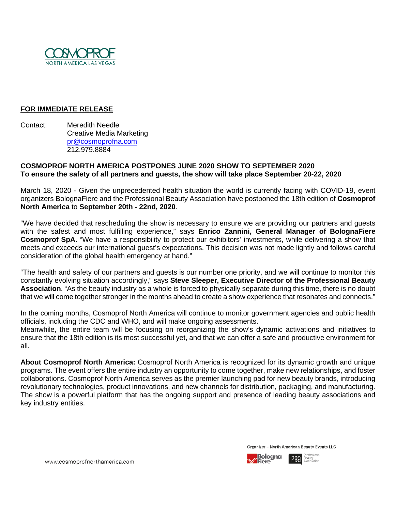

## **FOR IMMEDIATE RELEASE**

Contact: Meredith Needle Creative Media Marketing [pr@cosmoprofna.com](mailto:pr@cosmoprofna.com) 212.979.8884

## **COSMOPROF NORTH AMERICA POSTPONES JUNE 2020 SHOW TO SEPTEMBER 2020 To ensure the safety of all partners and guests, the show will take place September 20-22, 2020**

March 18, 2020 - Given the unprecedented health situation the world is currently facing with COVID-19, event organizers BolognaFiere and the Professional Beauty Association have postponed the 18th edition of **Cosmoprof North America** to **September 20th - 22nd, 2020**.

"We have decided that rescheduling the show is necessary to ensure we are providing our partners and guests with the safest and most fulfilling experience," says **Enrico Zannini, General Manager of BolognaFiere Cosmoprof SpA**. "We have a responsibility to protect our exhibitors' investments, while delivering a show that meets and exceeds our international guest's expectations. This decision was not made lightly and follows careful consideration of the global health emergency at hand."

"The health and safety of our partners and guests is our number one priority, and we will continue to monitor this constantly evolving situation accordingly," says **Steve Sleeper, Executive Director of the Professional Beauty Association**. "As the beauty industry as a whole is forced to physically separate during this time, there is no doubt that we will come together stronger in the months ahead to create a show experience that resonates and connects."

In the coming months, Cosmoprof North America will continue to monitor government agencies and public health officials, including the CDC and WHO, and will make ongoing assessments.

Meanwhile, the entire team will be focusing on reorganizing the show's dynamic activations and initiatives to ensure that the 18th edition is its most successful yet, and that we can offer a safe and productive environment for all.

**About Cosmoprof North America:** Cosmoprof North America is recognized for its dynamic growth and unique programs. The event offers the entire industry an opportunity to come together, make new relationships, and foster collaborations. Cosmoprof North America serves as the premier launching pad for new beauty brands, introducing revolutionary technologies, product innovations, and new channels for distribution, packaging, and manufacturing. The show is a powerful platform that has the ongoing support and presence of leading beauty associations and key industry entities.

Organizer - North American Beauty Events LLC